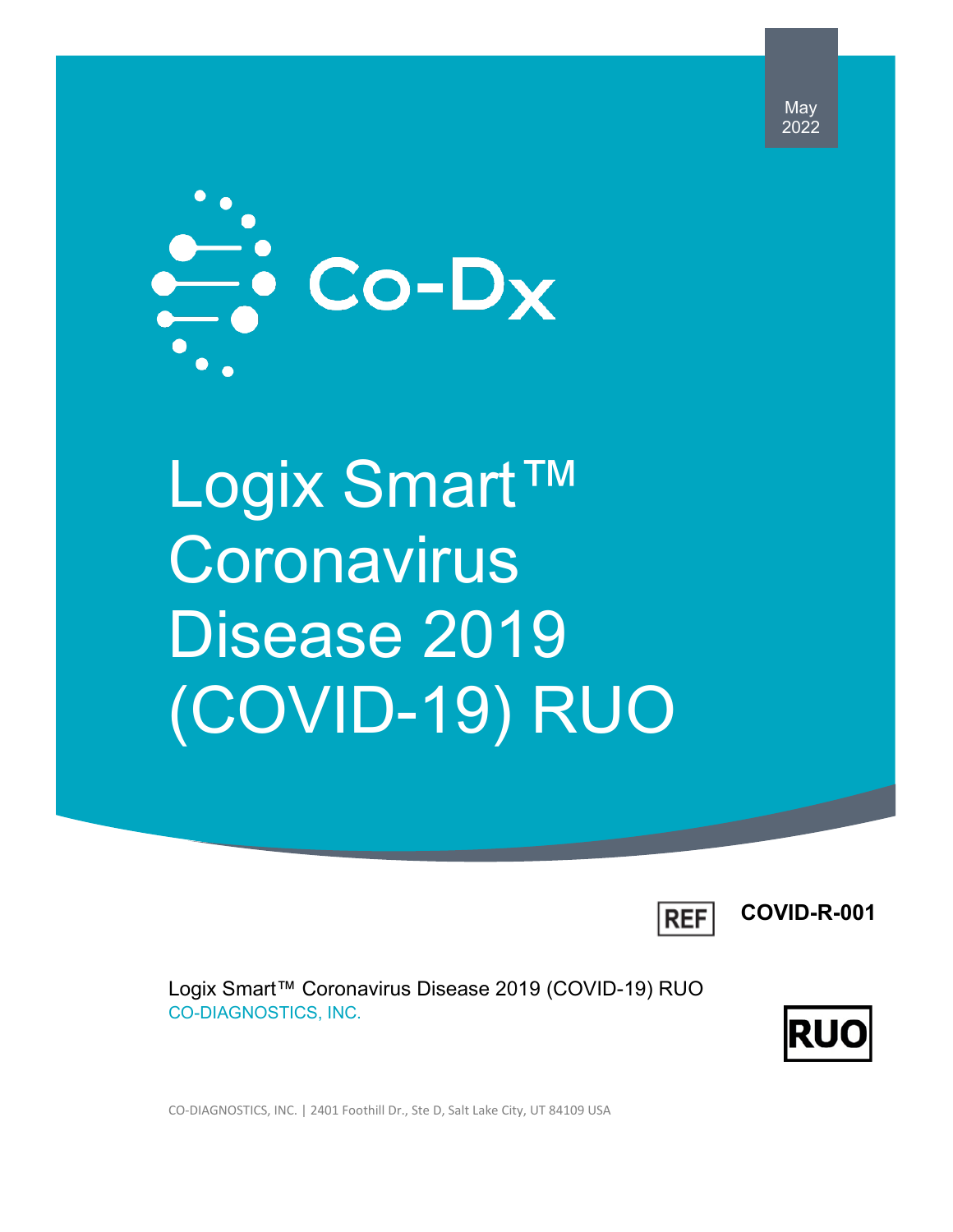May 2022



Logix Smart™ **Coronavirus** Disease 2019 (COVID-19) RUO



**COVID-R-001**

Logix Smart™ Coronavirus Disease 2019 (COVID-19) RUO CO-DIAGNOSTICS, INC.



CO-DIAGNOSTICS, INC. | 2401 Foothill Dr., Ste D, Salt Lake City, UT 84109 USA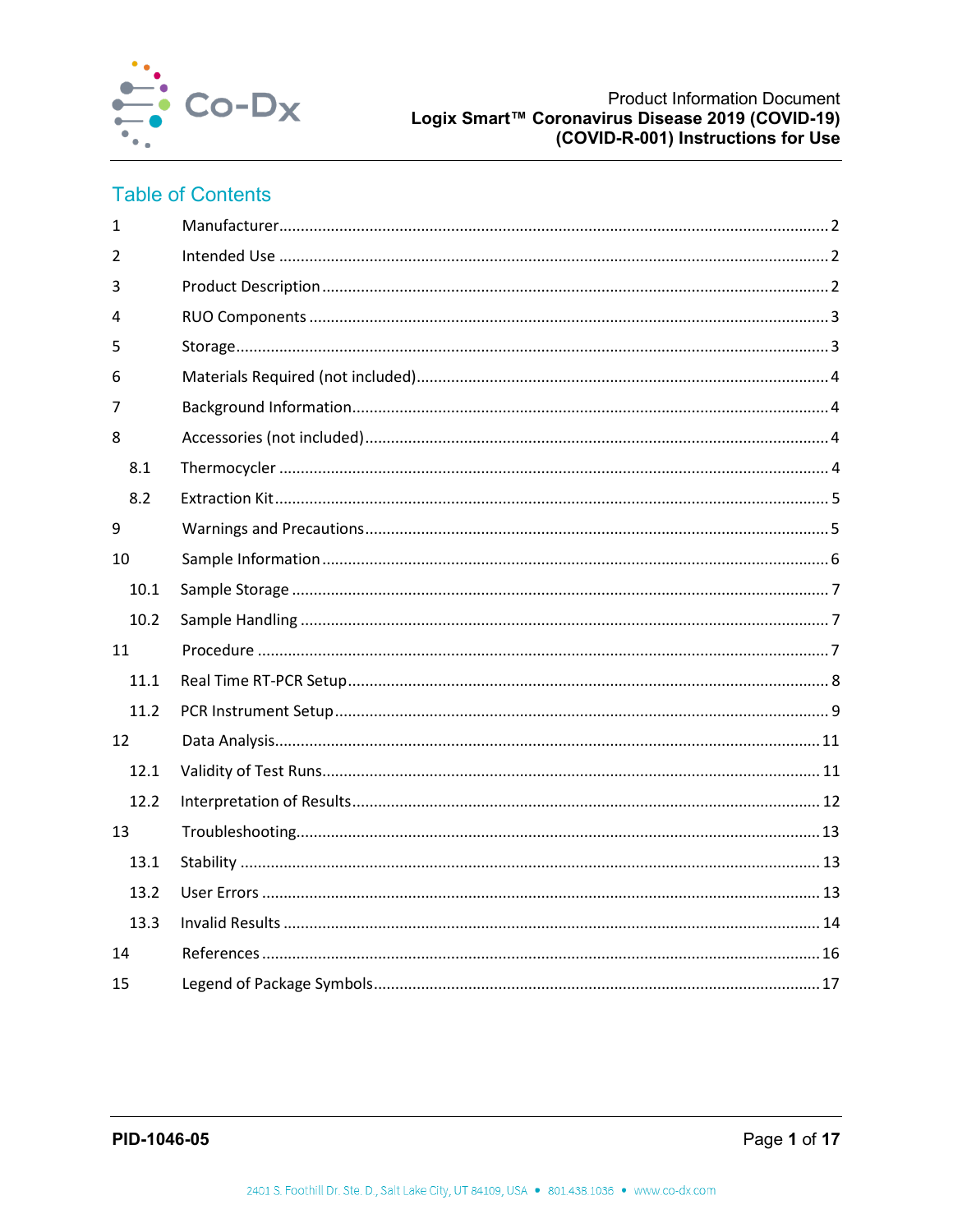

# **Table of Contents**

| $\mathbf{1}$ |  |
|--------------|--|
| 2            |  |
| 3            |  |
| 4            |  |
| 5            |  |
| 6            |  |
| 7            |  |
| 8            |  |
| 8.1          |  |
| 8.2          |  |
| 9            |  |
| 10           |  |
| 10.1         |  |
| 10.2         |  |
| 11           |  |
| 11.1         |  |
| 11.2         |  |
| 12           |  |
| 12.1         |  |
| 12.2         |  |
| 13           |  |
| 13.1         |  |
| 13.2         |  |
| 13.3         |  |
| 14           |  |
|              |  |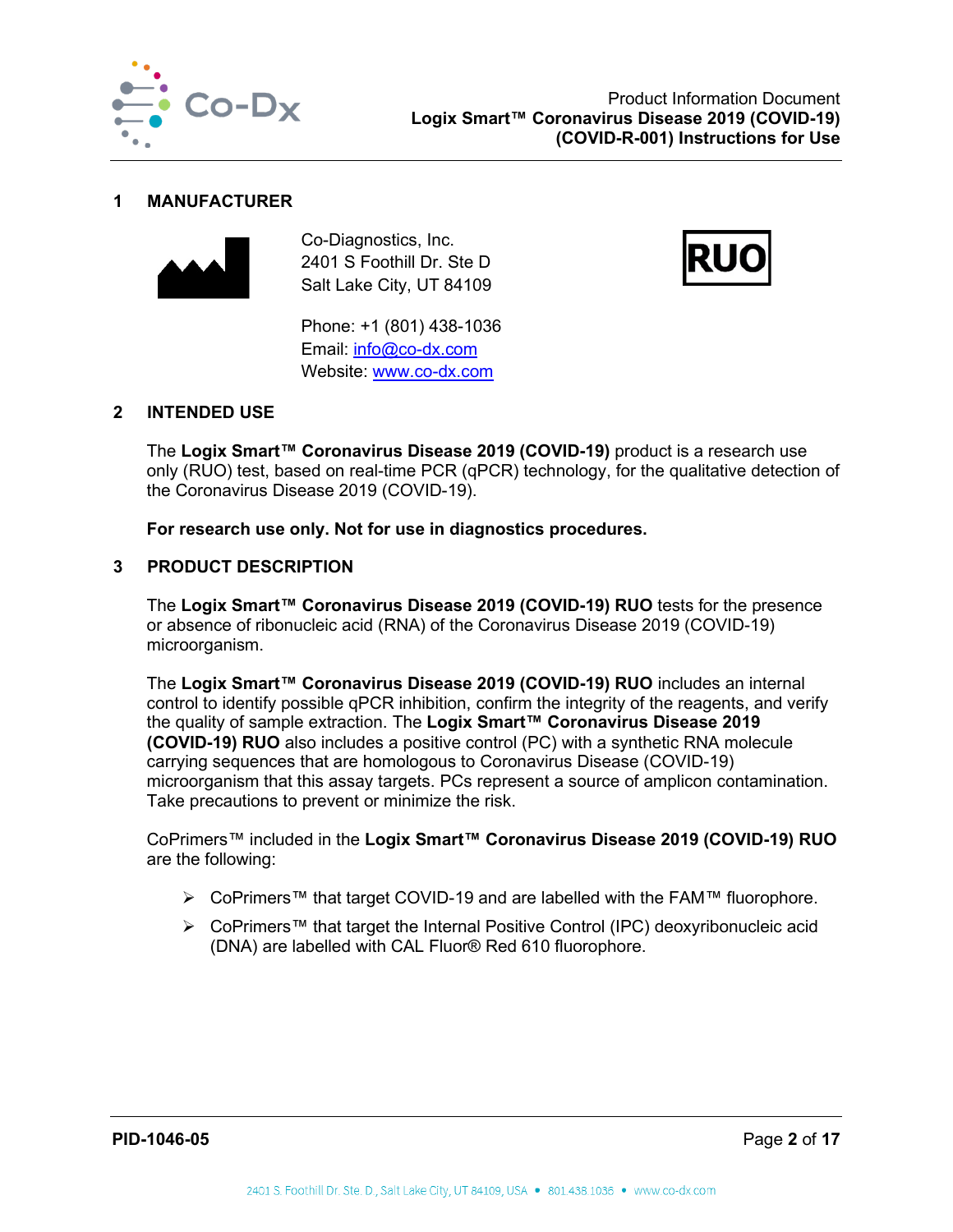

#### <span id="page-2-0"></span>**1 MANUFACTURER**



Co-Diagnostics, Inc. 2401 S Foothill Dr. Ste D Salt Lake City, UT 84109



Phone: +1 (801) 438-1036 Email: [info@co-dx.com](mailto:info@co-dx.com) Website: [www.co-dx.com](http://www.co-dx.com/) 

## <span id="page-2-1"></span>**2 INTENDED USE**

The **Logix Smart™ Coronavirus Disease 2019 (COVID-19)** product is a research use only (RUO) test, based on real-time PCR (qPCR) technology, for the qualitative detection of the Coronavirus Disease 2019 (COVID-19).

**For research use only. Not for use in diagnostics procedures.**

## <span id="page-2-2"></span>**3 PRODUCT DESCRIPTION**

The **Logix Smart™ Coronavirus Disease 2019 (COVID-19) RUO** tests for the presence or absence of ribonucleic acid (RNA) of the Coronavirus Disease 2019 (COVID-19) microorganism.

The **Logix Smart™ Coronavirus Disease 2019 (COVID-19) RUO** includes an internal control to identify possible qPCR inhibition, confirm the integrity of the reagents, and verify the quality of sample extraction. The **Logix Smart™ Coronavirus Disease 2019 (COVID-19) RUO** also includes a positive control (PC) with a synthetic RNA molecule carrying sequences that are homologous to Coronavirus Disease (COVID-19) microorganism that this assay targets. PCs represent a source of amplicon contamination. Take precautions to prevent or minimize the risk.

CoPrimers™ included in the **Logix Smart™ Coronavirus Disease 2019 (COVID-19) RUO** are the following:

- CoPrimers™ that target COVID-19 and are labelled with the FAM™ fluorophore.
- CoPrimers™ that target the Internal Positive Control (IPC) deoxyribonucleic acid (DNA) are labelled with CAL Fluor® Red 610 fluorophore.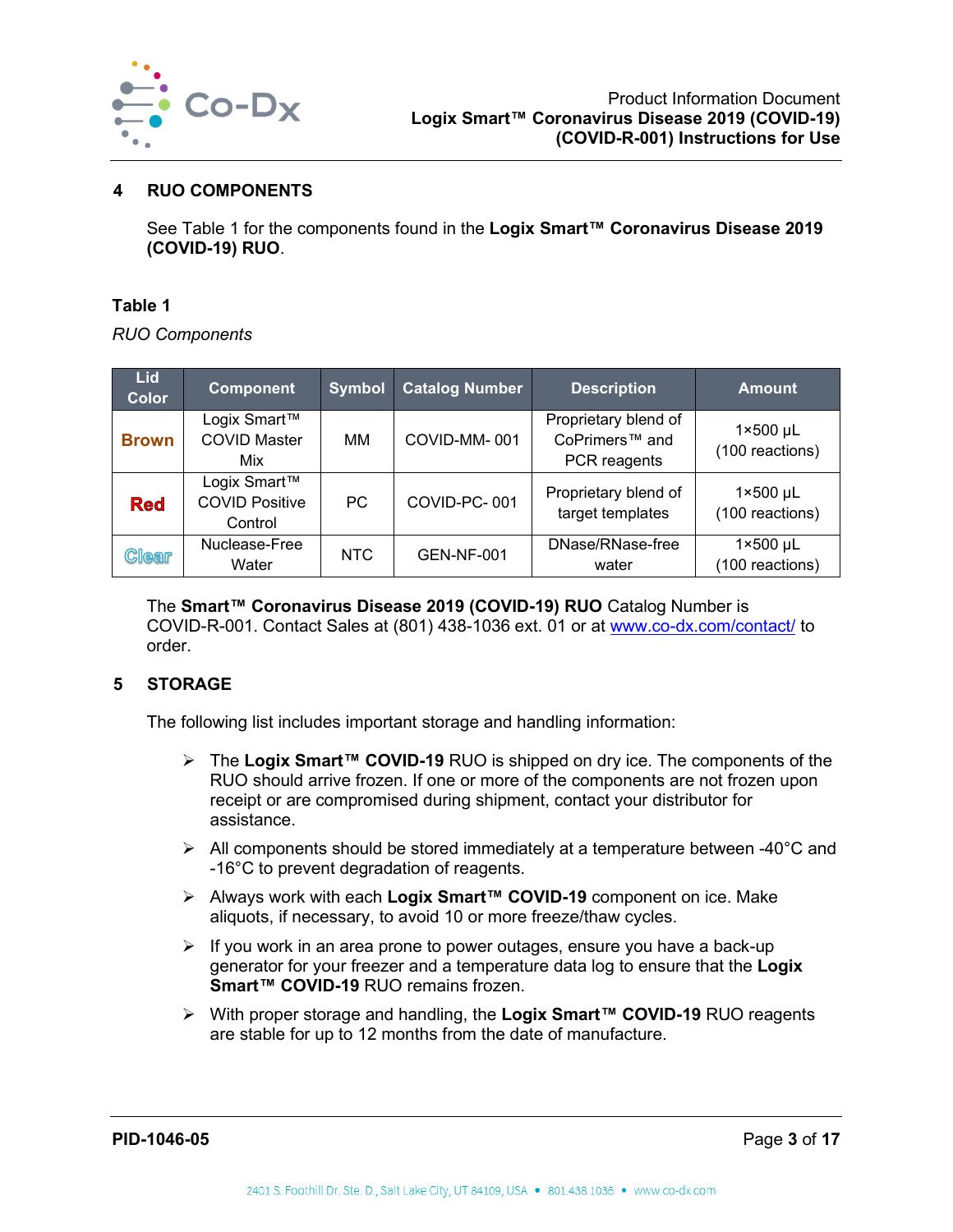

## <span id="page-3-0"></span>**4 RUO COMPONENTS**

See [Table 1](#page-3-2) for the components found in the **Logix Smart™ Coronavirus Disease 2019 (COVID-19) RUO**.

#### <span id="page-3-2"></span>**Table 1**

*RUO Components*

| Lid.<br>Color | <b>Component</b>                                 | <b>Symbol</b> | <b>Catalog Number</b> | <b>Description</b>                                                 | <b>Amount</b>                        |
|---------------|--------------------------------------------------|---------------|-----------------------|--------------------------------------------------------------------|--------------------------------------|
| <b>Brown</b>  | Logix Smart™<br><b>COVID Master</b><br>Mix       | MМ            | COVID-MM-001          | Proprietary blend of<br>CoPrimers <sup>™</sup> and<br>PCR reagents | $1 \times 500$ µL<br>(100 reactions) |
| <b>Red</b>    | Logix Smart™<br><b>COVID Positive</b><br>Control | <b>PC</b>     | COVID-PC-001          | Proprietary blend of<br>target templates                           | $1 \times 500$ µL<br>(100 reactions) |
| <b>Clear</b>  | Nuclease-Free<br>Water                           | NTC           | <b>GEN-NF-001</b>     | DNase/RNase-free<br>water                                          | $1 \times 500$ µL<br>(100 reactions) |

The **Smart™ Coronavirus Disease 2019 (COVID-19) RUO** Catalog Number is COVID-R-001. Contact Sales at (801) 438-1036 ext. 01 or at [www.co-dx.com/contact/](http://www.co-dx.com/contact/) to order.

## <span id="page-3-1"></span>**5 STORAGE**

The following list includes important storage and handling information:

- The **Logix Smart™ COVID-19** RUO is shipped on dry ice. The components of the RUO should arrive frozen. If one or more of the components are not frozen upon receipt or are compromised during shipment, contact your distributor for assistance.
- $\triangleright$  All components should be stored immediately at a temperature between -40 $\degree$ C and -16°C to prevent degradation of reagents.
- Always work with each **Logix Smart™ COVID-19** component on ice. Make aliquots, if necessary, to avoid 10 or more freeze/thaw cycles.
- $\triangleright$  If you work in an area prone to power outages, ensure you have a back-up generator for your freezer and a temperature data log to ensure that the **Logix Smart™ COVID-19** RUO remains frozen.
- With proper storage and handling, the **Logix Smart™ COVID-19** RUO reagents are stable for up to 12 months from the date of manufacture.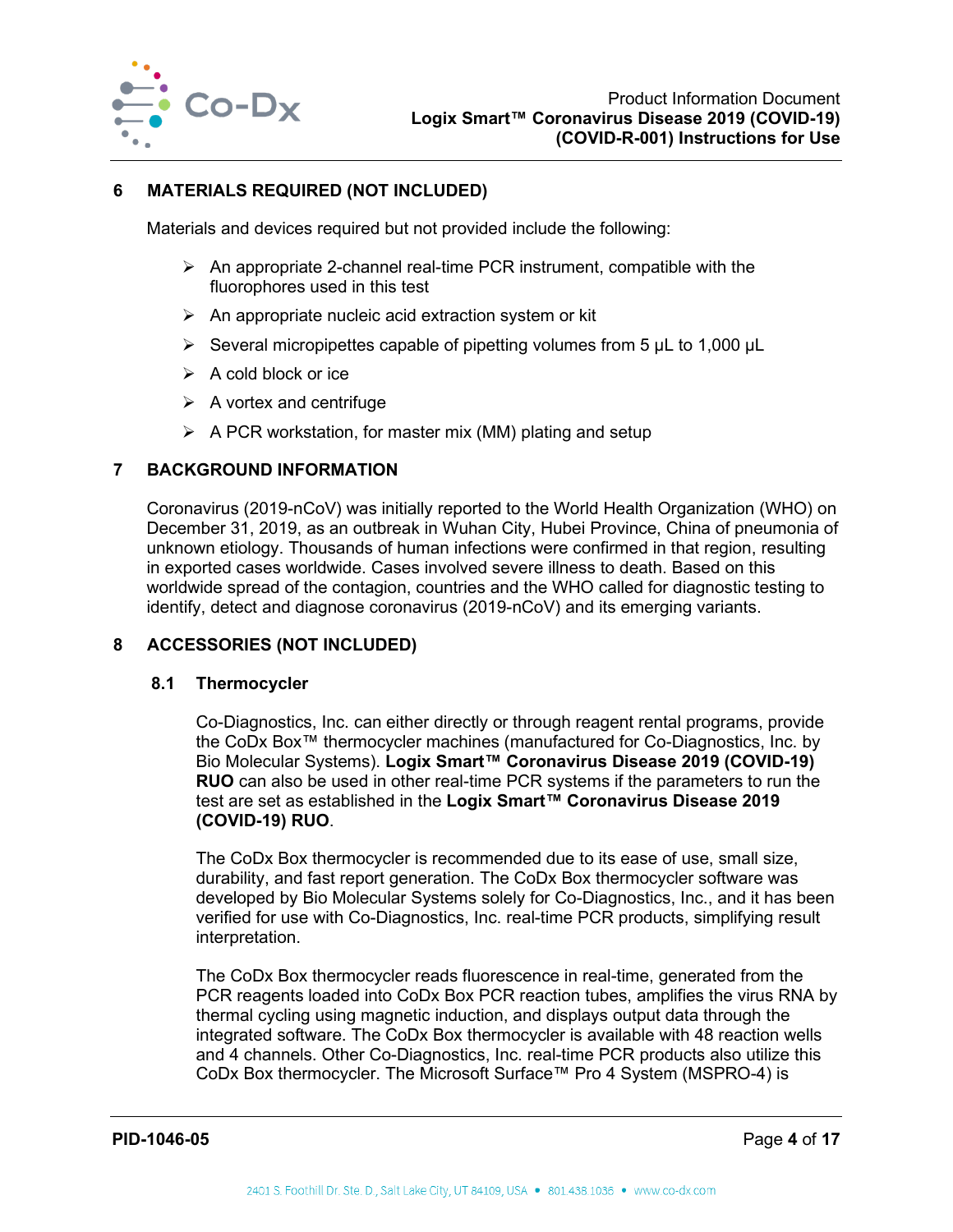

## <span id="page-4-0"></span>**6 MATERIALS REQUIRED (NOT INCLUDED)**

Materials and devices required but not provided include the following:

- $\triangleright$  An appropriate 2-channel real-time PCR instrument, compatible with the fluorophores used in this test
- $\triangleright$  An appropriate nucleic acid extraction system or kit
- $\triangleright$  Several micropipettes capable of pipetting volumes from 5 µL to 1,000 µL
- $\triangleright$  A cold block or ice
- $\triangleright$  A vortex and centrifuge
- $\triangleright$  A PCR workstation, for master mix (MM) plating and setup

## <span id="page-4-1"></span>**7 BACKGROUND INFORMATION**

Coronavirus (2019-nCoV) was initially reported to the World Health Organization (WHO) on December 31, 2019, as an outbreak in Wuhan City, Hubei Province, China of pneumonia of unknown etiology. Thousands of human infections were confirmed in that region, resulting in exported cases worldwide. Cases involved severe illness to death. Based on this worldwide spread of the contagion, countries and the WHO called for diagnostic testing to identify, detect and diagnose coronavirus (2019-nCoV) and its emerging variants.

#### <span id="page-4-3"></span><span id="page-4-2"></span>**8 ACCESSORIES (NOT INCLUDED)**

#### **8.1 Thermocycler**

Co-Diagnostics, Inc. can either directly or through reagent rental programs, provide the CoDx Box™ thermocycler machines (manufactured for Co-Diagnostics, Inc. by Bio Molecular Systems). **Logix Smart™ Coronavirus Disease 2019 (COVID-19) RUO** can also be used in other real-time PCR systems if the parameters to run the test are set as established in the **Logix Smart™ Coronavirus Disease 2019 (COVID-19) RUO**.

The CoDx Box thermocycler is recommended due to its ease of use, small size, durability, and fast report generation. The CoDx Box thermocycler software was developed by Bio Molecular Systems solely for Co-Diagnostics, Inc., and it has been verified for use with Co-Diagnostics, Inc. real-time PCR products, simplifying result interpretation.

The CoDx Box thermocycler reads fluorescence in real-time, generated from the PCR reagents loaded into CoDx Box PCR reaction tubes, amplifies the virus RNA by thermal cycling using magnetic induction, and displays output data through the integrated software. The CoDx Box thermocycler is available with 48 reaction wells and 4 channels. Other Co-Diagnostics, Inc. real-time PCR products also utilize this CoDx Box thermocycler. The Microsoft Surface™ Pro 4 System (MSPRO-4) is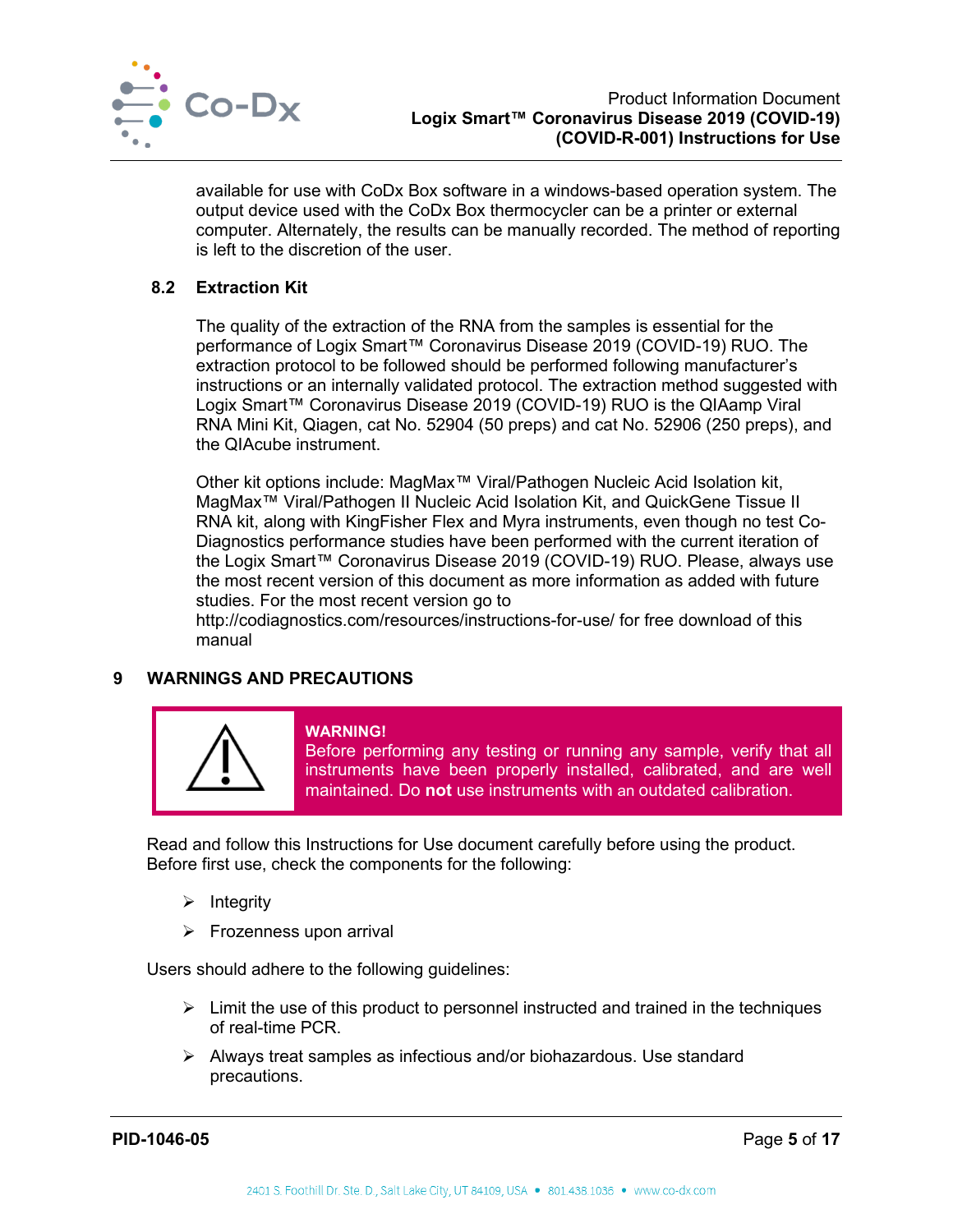

available for use with CoDx Box software in a windows-based operation system. The output device used with the CoDx Box thermocycler can be a printer or external computer. Alternately, the results can be manually recorded. The method of reporting is left to the discretion of the user.

## <span id="page-5-0"></span>**8.2 Extraction Kit**

The quality of the extraction of the RNA from the samples is essential for the performance of Logix Smart™ Coronavirus Disease 2019 (COVID-19) RUO. The extraction protocol to be followed should be performed following manufacturer's instructions or an internally validated protocol. The extraction method suggested with Logix Smart™ Coronavirus Disease 2019 (COVID-19) RUO is the QIAamp Viral RNA Mini Kit, Qiagen, cat No. 52904 (50 preps) and cat No. 52906 (250 preps), and the QIAcube instrument.

Other kit options include: MagMax™ Viral/Pathogen Nucleic Acid Isolation kit, MagMax™ Viral/Pathogen II Nucleic Acid Isolation Kit, and QuickGene Tissue II RNA kit, along with KingFisher Flex and Myra instruments, even though no test Co-Diagnostics performance studies have been performed with the current iteration of the Logix Smart™ Coronavirus Disease 2019 (COVID-19) RUO. Please, always use the most recent version of this document as more information as added with future studies. For the most recent version go to

http://codiagnostics.com/resources/instructions-for-use/ for free download of this manual

## <span id="page-5-1"></span>**9 WARNINGS AND PRECAUTIONS**



#### **WARNING!**

Before performing any testing or running any sample, verify that all instruments have been properly installed, calibrated, and are well maintained. Do **not** use instruments with an outdated calibration.

Read and follow this Instructions for Use document carefully before using the product. Before first use, check the components for the following:

- $\triangleright$  Integrity
- $\triangleright$  Frozenness upon arrival

Users should adhere to the following guidelines:

- $\triangleright$  Limit the use of this product to personnel instructed and trained in the techniques of real-time PCR.
- Always treat samples as infectious and/or biohazardous. Use standard precautions.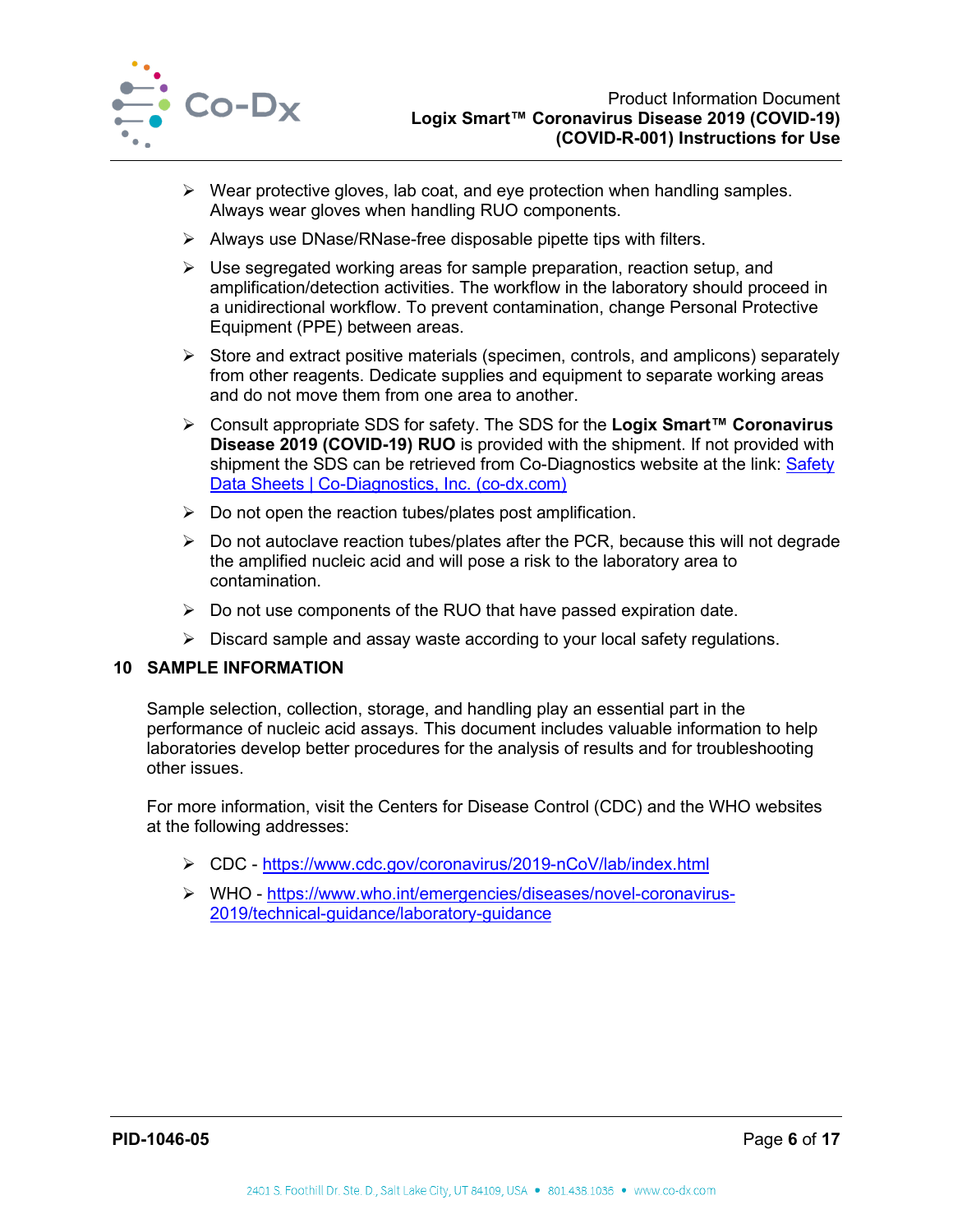

- $\triangleright$  Wear protective gloves, lab coat, and eye protection when handling samples. Always wear gloves when handling RUO components.
- $\triangleright$  Always use DNase/RNase-free disposable pipette tips with filters.
- $\triangleright$  Use segregated working areas for sample preparation, reaction setup, and amplification/detection activities. The workflow in the laboratory should proceed in a unidirectional workflow. To prevent contamination, change Personal Protective Equipment (PPE) between areas.
- $\triangleright$  Store and extract positive materials (specimen, controls, and amplicons) separately from other reagents. Dedicate supplies and equipment to separate working areas and do not move them from one area to another.
- Consult appropriate SDS for safety. The SDS for the **Logix Smart™ Coronavirus Disease 2019 (COVID-19) RUO** is provided with the shipment. If not provided with shipment the SDS can be retrieved from Co-Diagnostics website at the link: Safety [Data Sheets | Co-Diagnostics, Inc. \(co-dx.com\)](https://codiagnostics.com/resources/safety-data-sheets/)
- $\triangleright$  Do not open the reaction tubes/plates post amplification.
- $\triangleright$  Do not autoclave reaction tubes/plates after the PCR, because this will not degrade the amplified nucleic acid and will pose a risk to the laboratory area to contamination.
- $\triangleright$  Do not use components of the RUO that have passed expiration date.
- $\triangleright$  Discard sample and assay waste according to your local safety regulations.

## <span id="page-6-0"></span>**10 SAMPLE INFORMATION**

Sample selection, collection, storage, and handling play an essential part in the performance of nucleic acid assays. This document includes valuable information to help laboratories develop better procedures for the analysis of results and for troubleshooting other issues.

For more information, visit the Centers for Disease Control (CDC) and the WHO websites at the following addresses:

- CDC -<https://www.cdc.gov/coronavirus/2019-nCoV/lab/index.html>
- WHO - [https://www.who.int/emergencies/diseases/novel-coronavirus-](https://www.who.int/emergencies/diseases/novel-coronavirus-2019/technical-guidance/laboratory-guidance)[2019/technical-guidance/laboratory-guidance](https://www.who.int/emergencies/diseases/novel-coronavirus-2019/technical-guidance/laboratory-guidance)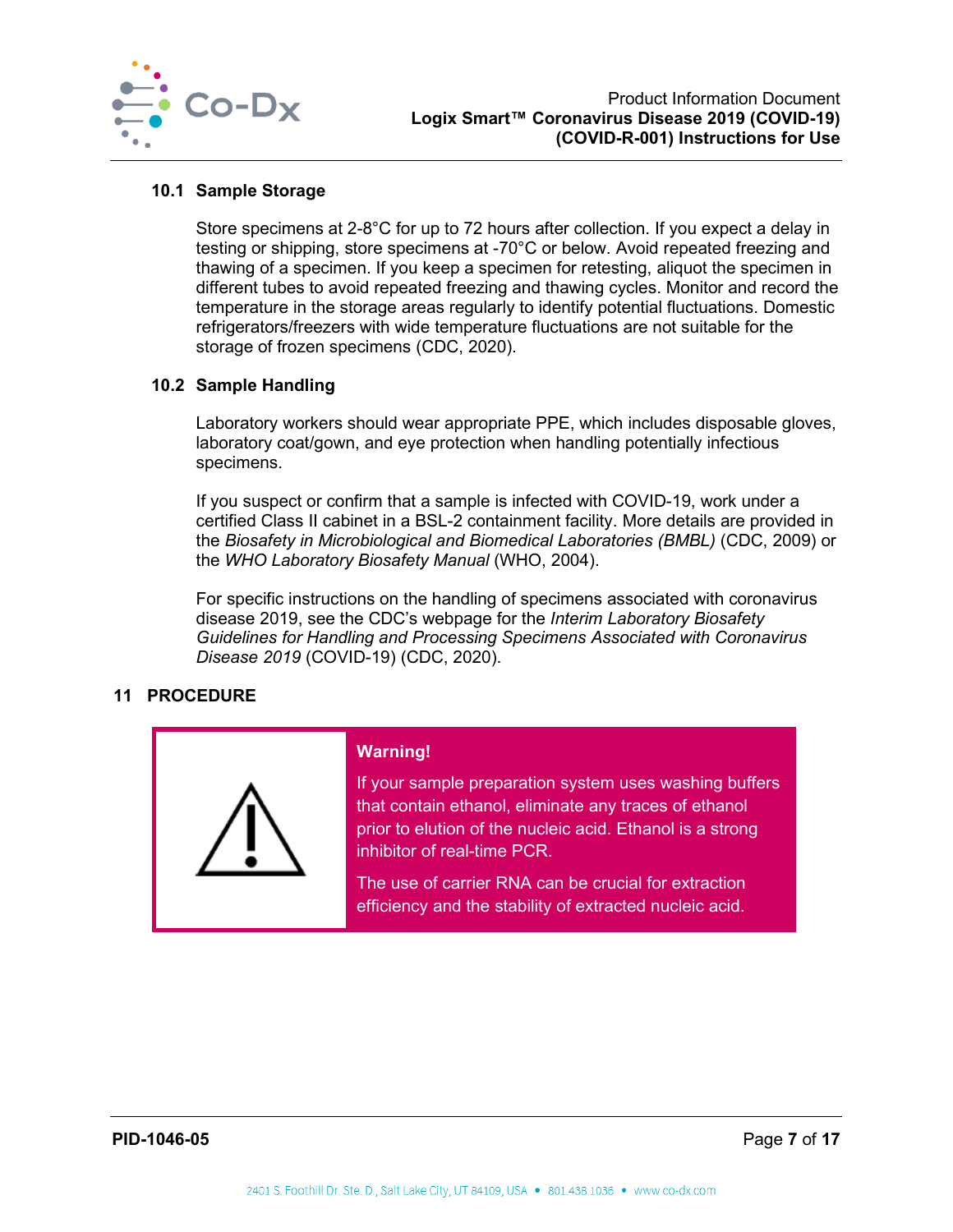

#### <span id="page-7-0"></span>**10.1 Sample Storage**

Store specimens at 2-8°C for up to 72 hours after collection. If you expect a delay in testing or shipping, store specimens at -70°C or below. Avoid repeated freezing and thawing of a specimen. If you keep a specimen for retesting, aliquot the specimen in different tubes to avoid repeated freezing and thawing cycles. Monitor and record the temperature in the storage areas regularly to identify potential fluctuations. Domestic refrigerators/freezers with wide temperature fluctuations are not suitable for the storage of frozen specimens (CDC, 2020).

## <span id="page-7-1"></span>**10.2 Sample Handling**

Laboratory workers should wear appropriate PPE, which includes disposable gloves, laboratory coat/gown, and eye protection when handling potentially infectious specimens.

If you suspect or confirm that a sample is infected with COVID-19, work under a certified Class II cabinet in a BSL-2 containment facility. More details are provided in the *Biosafety in Microbiological and Biomedical Laboratories (BMBL)* (CDC, 2009) or the *WHO Laboratory Biosafety Manual* (WHO, 2004).

For specific instructions on the handling of specimens associated with coronavirus disease 2019, see the CDC's webpage for the *Interim Laboratory Biosafety Guidelines for Handling and Processing Specimens Associated with Coronavirus Disease 2019* (COVID-19) (CDC, 2020).

## <span id="page-7-2"></span>**11 PROCEDURE**

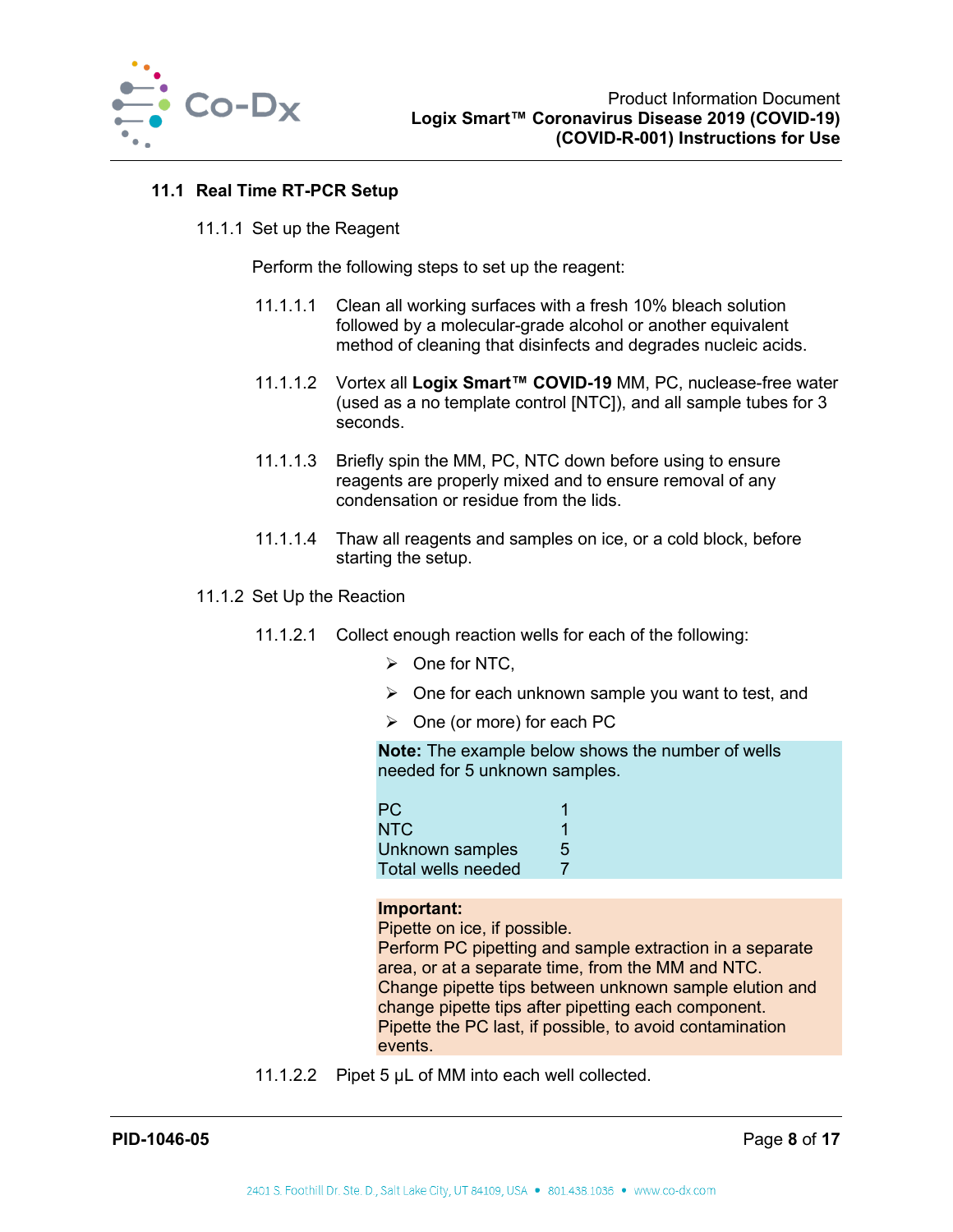

## <span id="page-8-0"></span>**11.1 Real Time RT-PCR Setup**

11.1.1 Set up the Reagent

Perform the following steps to set up the reagent:

- 11.1.1.1 Clean all working surfaces with a fresh 10% bleach solution followed by a molecular-grade alcohol or another equivalent method of cleaning that disinfects and degrades nucleic acids.
- 11.1.1.2 Vortex all **Logix Smart™ COVID-19** MM, PC, nuclease-free water (used as a no template control [NTC]), and all sample tubes for 3 seconds.
- 11.1.1.3 Briefly spin the MM, PC, NTC down before using to ensure reagents are properly mixed and to ensure removal of any condensation or residue from the lids.
- 11.1.1.4 Thaw all reagents and samples on ice, or a cold block, before starting the setup.
- 11.1.2 Set Up the Reaction
	- 11.1.2.1 Collect enough reaction wells for each of the following:
		- $\triangleright$  One for NTC.
		- $\triangleright$  One for each unknown sample you want to test, and
		- $\triangleright$  One (or more) for each PC

**Note:** The example below shows the number of wells needed for 5 unknown samples.

| PC/                |   |
|--------------------|---|
| <b>NTC</b>         |   |
| Unknown samples    | 5 |
| Total wells needed |   |

#### **Important:**

Pipette on ice, if possible. Perform PC pipetting and sample extraction in a separate area, or at a separate time, from the MM and NTC. Change pipette tips between unknown sample elution and change pipette tips after pipetting each component. Pipette the PC last, if possible, to avoid contamination events.

11.1.2.2 Pipet 5 µL of MM into each well collected.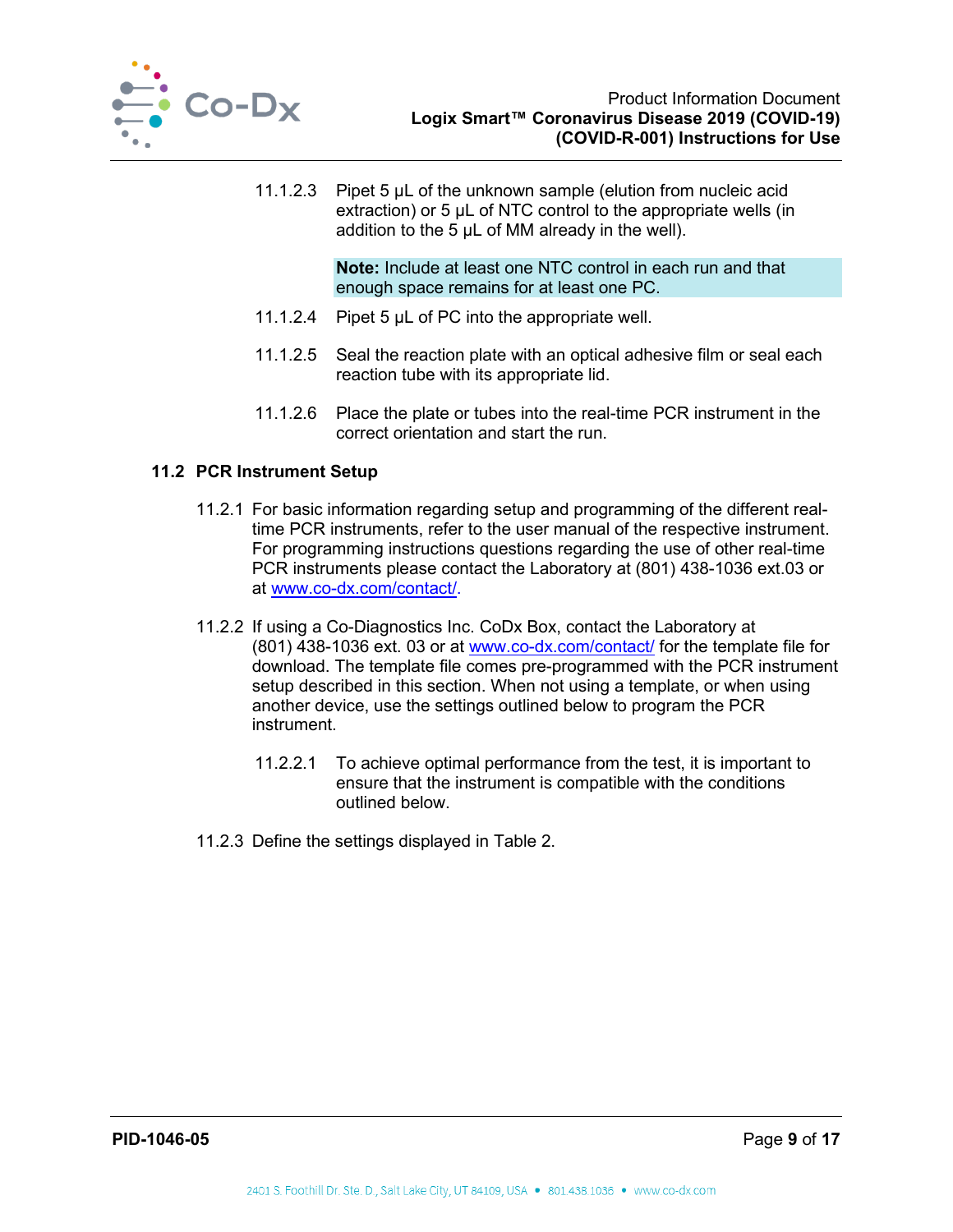

11.1.2.3 Pipet 5 µL of the unknown sample (elution from nucleic acid extraction) or 5  $\mu$ L of NTC control to the appropriate wells (in addition to the 5 µL of MM already in the well).

> **Note:** Include at least one NTC control in each run and that enough space remains for at least one PC.

- 11.1.2.4 Pipet 5 µL of PC into the appropriate well.
- 11.1.2.5 Seal the reaction plate with an optical adhesive film or seal each reaction tube with its appropriate lid.
- 11.1.2.6 Place the plate or tubes into the real-time PCR instrument in the correct orientation and start the run.

#### <span id="page-9-0"></span>**11.2 PCR Instrument Setup**

- 11.2.1 For basic information regarding setup and programming of the different realtime PCR instruments, refer to the user manual of the respective instrument. For programming instructions questions regarding the use of other real-time PCR instruments please contact the Laboratory at (801) 438-1036 ext.03 or at [www.co-dx.com/contact/.](http://www.co-dx.com/contact/)
- 11.2.2 If using a Co-Diagnostics Inc. CoDx Box, contact the Laboratory at (801) 438-1036 ext. 03 or at [www.co-dx.com/contact/](http://www.co-dx.com/contact/) for the template file for download. The template file comes pre-programmed with the PCR instrument setup described in this section. When not using a template, or when using another device, use the settings outlined below to program the PCR instrument.
	- 11.2.2.1 To achieve optimal performance from the test, it is important to ensure that the instrument is compatible with the conditions outlined below.
- <span id="page-9-1"></span>11.2.3 Define the settings displayed in [Table 2.](#page-9-1)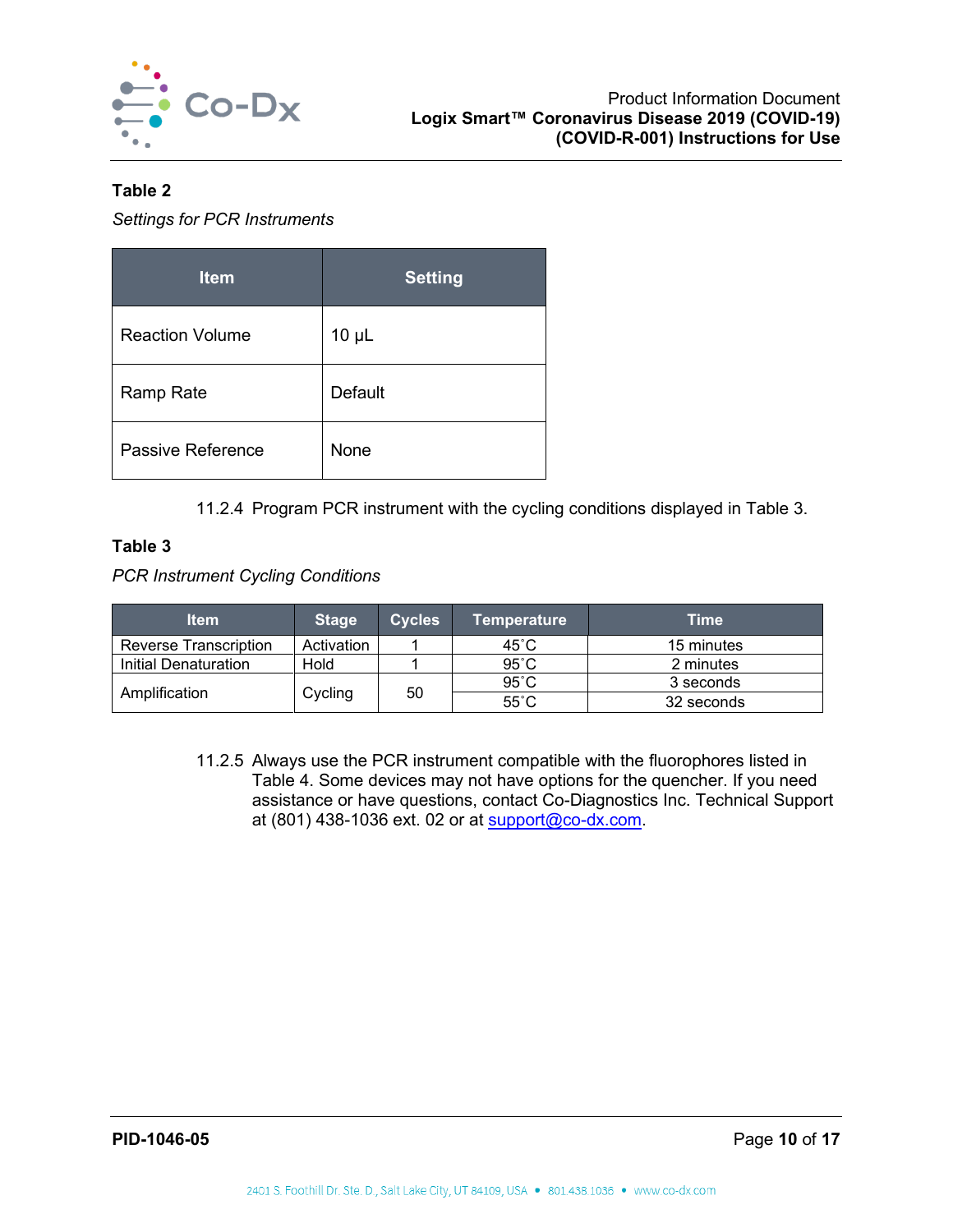

## **Table 2**

*Settings for PCR Instruments*

| <b>Item</b>            | <b>Setting</b> |
|------------------------|----------------|
| <b>Reaction Volume</b> | $10 \mu L$     |
| <b>Ramp Rate</b>       | Default        |
| Passive Reference      | None           |

11.2.4 Program PCR instrument with the cycling conditions displayed in [Table 3.](#page-10-0)

## <span id="page-10-0"></span>**Table 3**

*PCR Instrument Cycling Conditions*

| <b>Item</b>           | <b>Stage</b> | <b>Cycles</b> | ∣Temperature ˈ | Time       |
|-----------------------|--------------|---------------|----------------|------------|
| Reverse Transcription | Activation   |               | 45°C           | 15 minutes |
| Initial Denaturation  | Hold         |               | $95^{\circ}$ C | 2 minutes  |
|                       | Cycling      | 50            | $95^{\circ}$ C | 3 seconds  |
| Amplification         |              |               | $55^{\circ}$ C | 32 seconds |

11.2.5 Always use the PCR instrument compatible with the fluorophores listed in [Table 4.](#page-11-2) Some devices may not have options for the quencher. If you need assistance or have questions, contact Co-Diagnostics Inc. Technical Support at (801) 438-1036 ext. 02 or at [support@co-dx.com.](mailto:support@co-dx.com)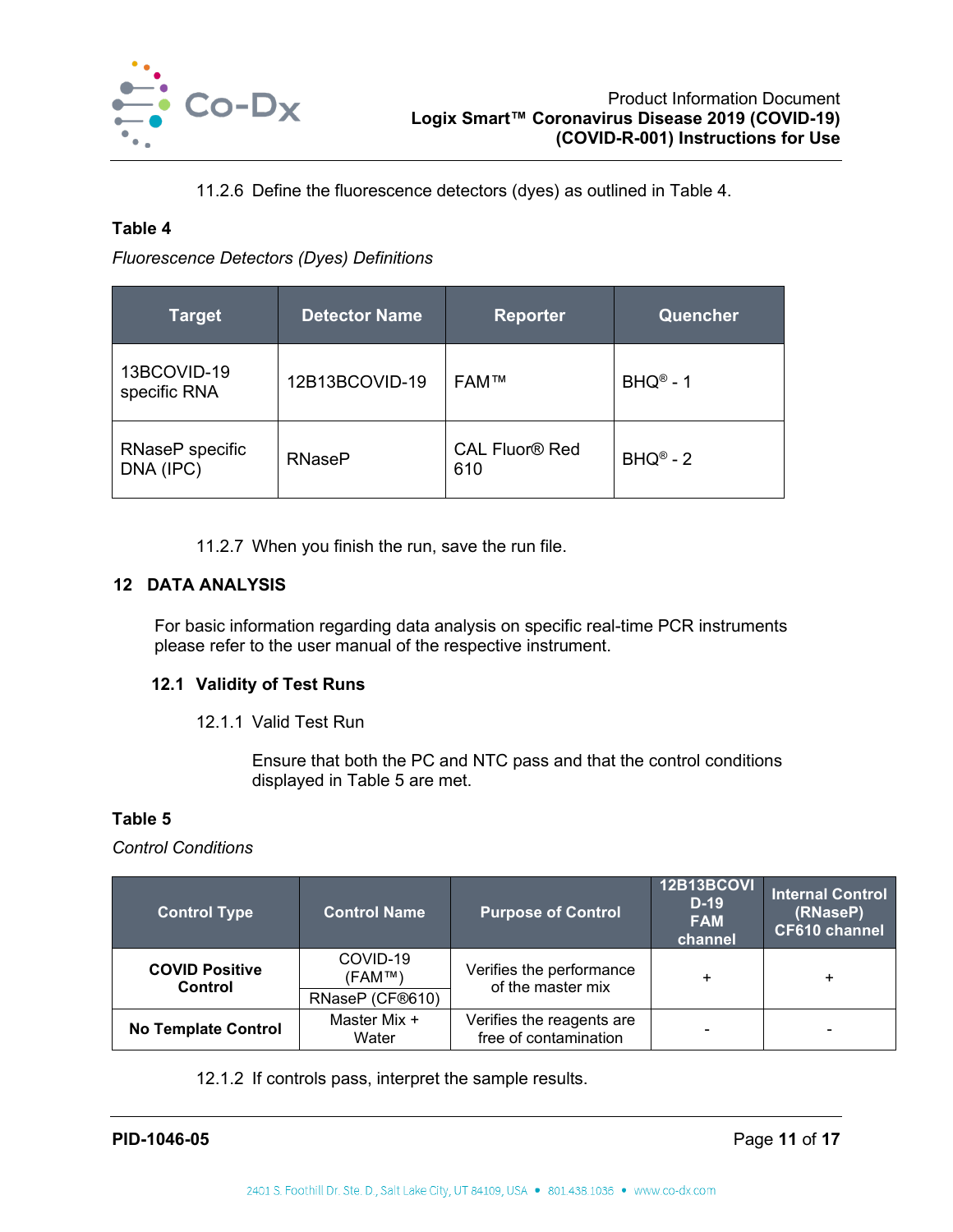

11.2.6 Define the fluorescence detectors (dyes) as outlined in [Table 4.](#page-11-2)

## <span id="page-11-2"></span>**Table 4**

*Fluorescence Detectors (Dyes) Definitions*

| <b>Target</b>                | <b>Detector Name</b> | <b>Reporter</b>                         | Quencher                 |
|------------------------------|----------------------|-----------------------------------------|--------------------------|
| 13BCOVID-19<br>specific RNA  | 12B13BCOVID-19       | <b>FAM™</b>                             | $BHO^{\circledcirc} - 1$ |
| RNaseP specific<br>DNA (IPC) | <b>RNaseP</b>        | <b>CAL Fluor<sup>®</sup> Red</b><br>610 | $BHQ^{\circledcirc} - 2$ |

11.2.7 When you finish the run, save the run file.

## <span id="page-11-0"></span>**12 DATA ANALYSIS**

For basic information regarding data analysis on specific real-time PCR instruments please refer to the user manual of the respective instrument.

## <span id="page-11-1"></span>**12.1 Validity of Test Runs**

12.1.1 Valid Test Run

Ensure that both the PC and NTC pass and that the control conditions displayed in [Table 5](#page-11-3) are met.

## <span id="page-11-3"></span>**Table 5**

*Control Conditions*

| <b>Control Type</b>              | <b>Control Name</b>                                  | <b>Purpose of Control</b>                          | <b>12B13BCOVI</b><br>$D-19$<br><b>FAM</b><br>channel | <b>Internal Control</b><br>(RNaseP)<br><b>CF610 channel</b> |
|----------------------------------|------------------------------------------------------|----------------------------------------------------|------------------------------------------------------|-------------------------------------------------------------|
| <b>COVID Positive</b><br>Control | COVID-19<br>$(FAM^{\mathsf{TM}})$<br>RNaseP (CF®610) | Verifies the performance<br>of the master mix      |                                                      | $\ddot{}$                                                   |
| <b>No Template Control</b>       | Master Mix +<br>Water                                | Verifies the reagents are<br>free of contamination |                                                      | -                                                           |

12.1.2 If controls pass, interpret the sample results.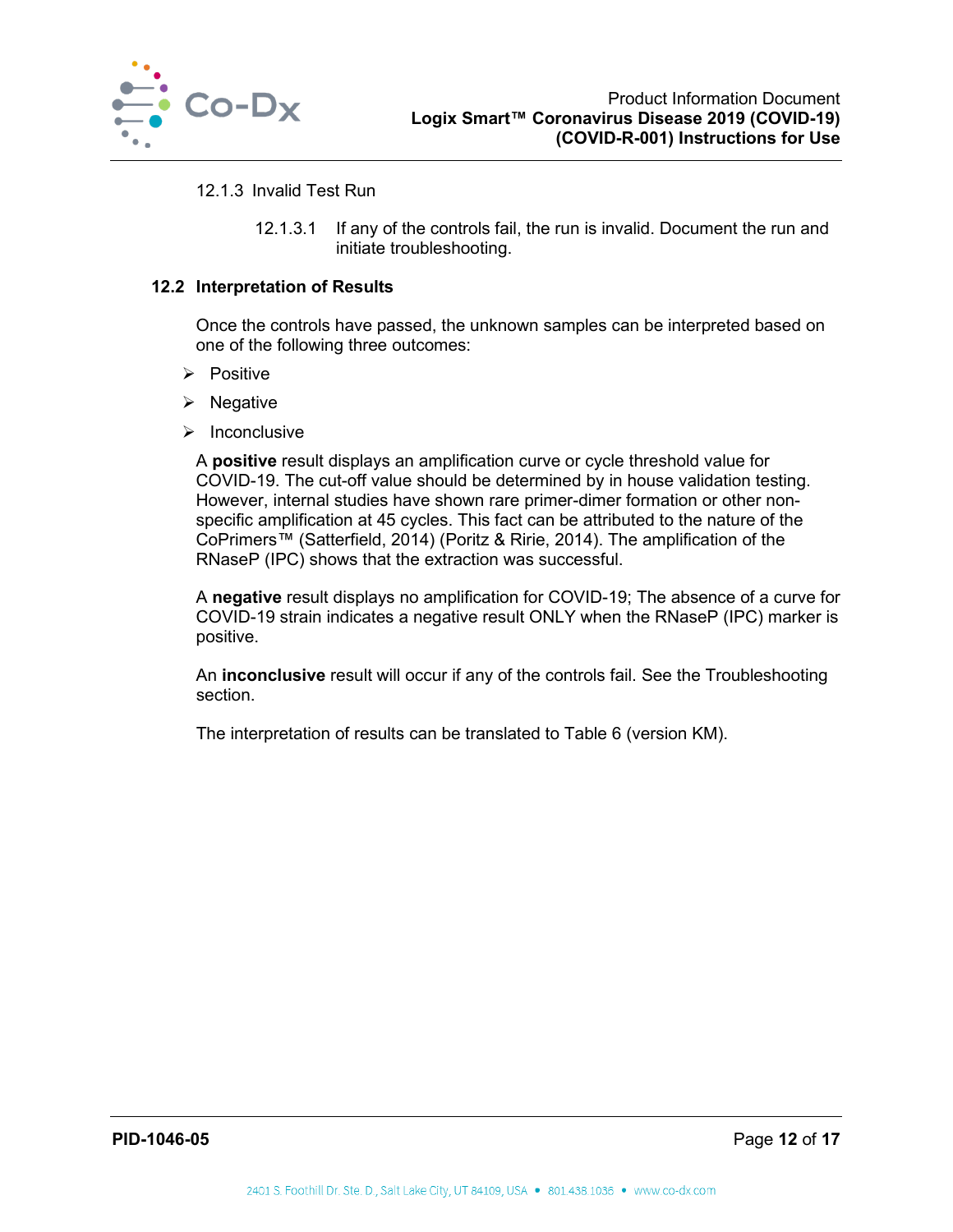

#### 12.1.3 Invalid Test Run

12.1.3.1 If any of the controls fail, the run is invalid. Document the run and initiate troubleshooting.

#### <span id="page-12-0"></span>**12.2 Interpretation of Results**

Once the controls have passed, the unknown samples can be interpreted based on one of the following three outcomes:

- $\triangleright$  Positive
- $\triangleright$  Negative
- $\triangleright$  Inconclusive

A **positive** result displays an amplification curve or cycle threshold value for COVID-19. The cut-off value should be determined by in house validation testing. However, internal studies have shown rare primer-dimer formation or other nonspecific amplification at 45 cycles. This fact can be attributed to the nature of the CoPrimers™ (Satterfield, 2014) (Poritz & Ririe, 2014). The amplification of the RNaseP (IPC) shows that the extraction was successful.

A **negative** result displays no amplification for COVID-19; The absence of a curve for COVID-19 strain indicates a negative result ONLY when the RNaseP (IPC) marker is positive.

An **inconclusive** result will occur if any of the controls fail. See the Troubleshooting section.

<span id="page-12-1"></span>The interpretation of results can be translated to [Table 6](#page-12-1) (version KM).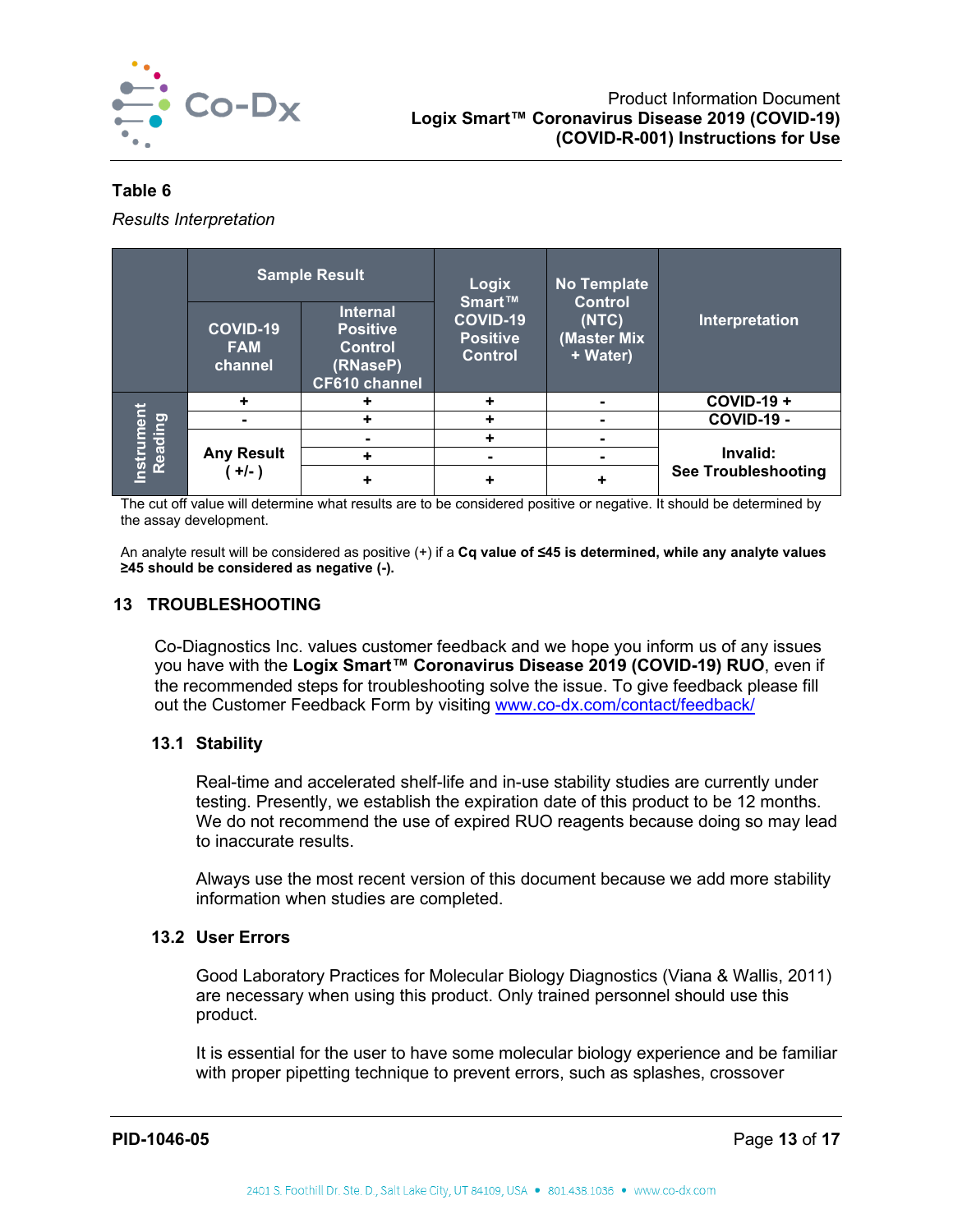

#### **Table 6**

*Results Interpretation*

|                      | <b>Sample Result</b>              |                                                                                          | Logix                                                   | <b>No Template</b>                                 |                            |
|----------------------|-----------------------------------|------------------------------------------------------------------------------------------|---------------------------------------------------------|----------------------------------------------------|----------------------------|
|                      | COVID-19<br><b>FAM</b><br>channel | <b>Internal</b><br><b>Positive</b><br><b>Control</b><br>(RNaseP)<br><b>CF610 channel</b> | Smart™<br>COVID-19<br><b>Positive</b><br><b>Control</b> | <b>Control</b><br>(NTC)<br>(Master Mix<br>+ Water) | Interpretation             |
|                      | ٠                                 |                                                                                          | ٠                                                       | $\blacksquare$                                     | <b>COVID-19 +</b>          |
| Instrumen<br>Reading |                                   |                                                                                          | ٠                                                       |                                                    | COVID-19 -                 |
|                      | <b>Any Result</b><br>$+/-$ )      |                                                                                          | ٠                                                       |                                                    |                            |
|                      |                                   | ٠                                                                                        |                                                         |                                                    | Invalid:                   |
|                      |                                   |                                                                                          |                                                         | ٠                                                  | <b>See Troubleshooting</b> |

The cut off value will determine what results are to be considered positive or negative. It should be determined by the assay development.

An analyte result will be considered as positive (+) if a **Cq value of ≤45 is determined, while any analyte values ≥45 should be considered as negative (-).**

## <span id="page-13-0"></span>**13 TROUBLESHOOTING**

Co-Diagnostics Inc. values customer feedback and we hope you inform us of any issues you have with the **Logix Smart™ Coronavirus Disease 2019 (COVID-19) RUO**, even if the recommended steps for troubleshooting solve the issue. To give feedback please fill out the Customer Feedback Form by visiting [www.co-dx.com/contact/feedback/](http://www.co-dx.com/contact/feedback/)

#### <span id="page-13-1"></span>**13.1 Stability**

Real-time and accelerated shelf-life and in-use stability studies are currently under testing. Presently, we establish the expiration date of this product to be 12 months. We do not recommend the use of expired RUO reagents because doing so may lead to inaccurate results.

Always use the most recent version of this document because we add more stability information when studies are completed.

#### <span id="page-13-2"></span>**13.2 User Errors**

Good Laboratory Practices for Molecular Biology Diagnostics (Viana & Wallis, 2011) are necessary when using this product. Only trained personnel should use this product.

It is essential for the user to have some molecular biology experience and be familiar with proper pipetting technique to prevent errors, such as splashes, crossover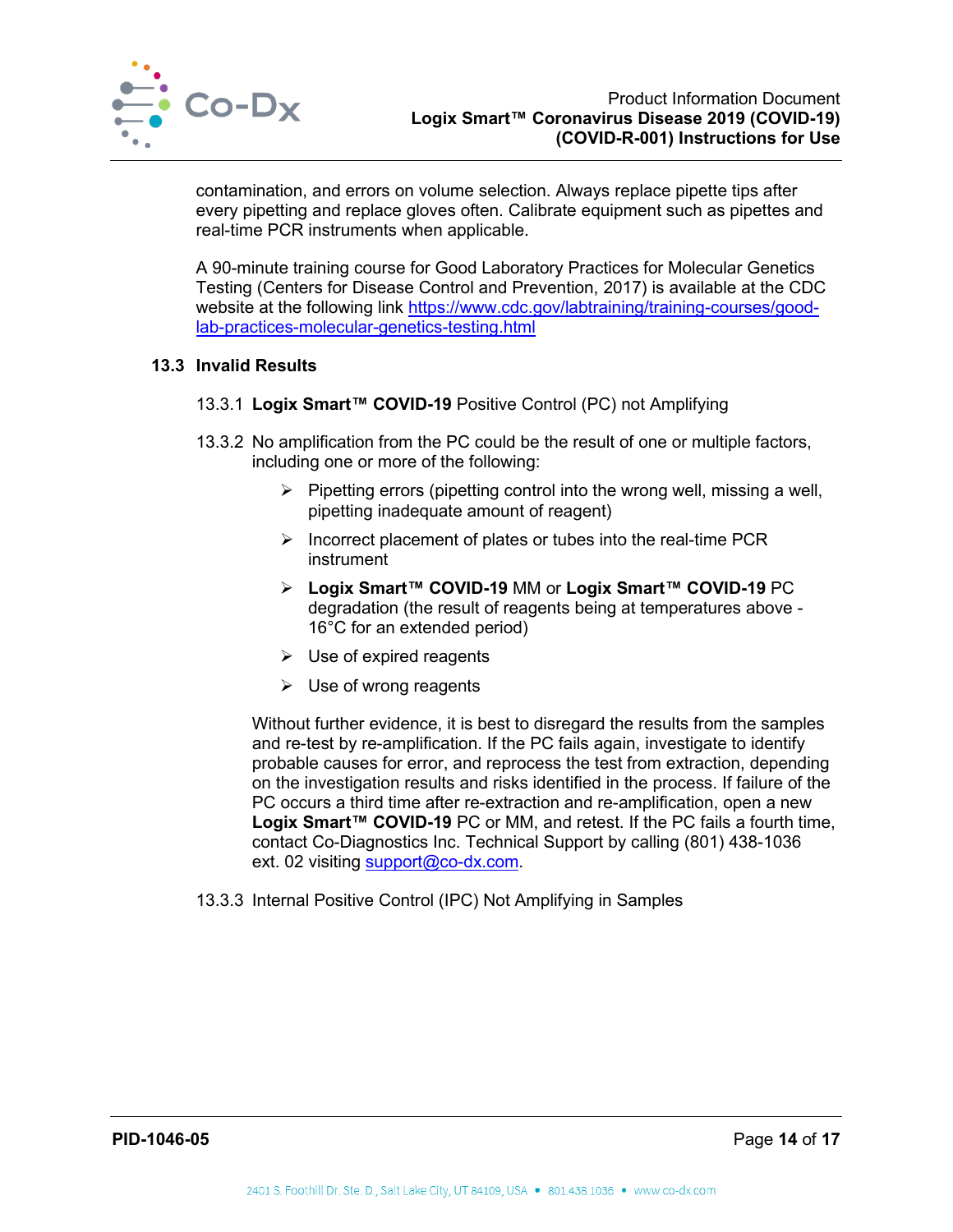

contamination, and errors on volume selection. Always replace pipette tips after every pipetting and replace gloves often. Calibrate equipment such as pipettes and real-time PCR instruments when applicable.

A 90-minute training course for Good Laboratory Practices for Molecular Genetics Testing (Centers for Disease Control and Prevention, 2017) is available at the CDC website at the following link [https://www.cdc.gov/labtraining/training-courses/good](https://www.cdc.gov/labtraining/training-courses/good-lab-practices-molecular-genetics-testing.html)[lab-practices-molecular-genetics-testing.html](https://www.cdc.gov/labtraining/training-courses/good-lab-practices-molecular-genetics-testing.html)

## <span id="page-14-0"></span>**13.3 Invalid Results**

- 13.3.1 **Logix Smart™ COVID-19** Positive Control (PC) not Amplifying
- 13.3.2 No amplification from the PC could be the result of one or multiple factors, including one or more of the following:
	- $\triangleright$  Pipetting errors (pipetting control into the wrong well, missing a well, pipetting inadequate amount of reagent)
	- $\triangleright$  Incorrect placement of plates or tubes into the real-time PCR instrument
	- **Logix Smart™ COVID-19** MM or **Logix Smart™ COVID-19** PC degradation (the result of reagents being at temperatures above - 16°C for an extended period)
	- $\triangleright$  Use of expired reagents
	- $\triangleright$  Use of wrong reagents

Without further evidence, it is best to disregard the results from the samples and re-test by re-amplification. If the PC fails again, investigate to identify probable causes for error, and reprocess the test from extraction, depending on the investigation results and risks identified in the process. If failure of the PC occurs a third time after re-extraction and re-amplification, open a new Logix Smart<sup>™</sup> COVID-19 PC or MM, and retest. If the PC fails a fourth time, contact Co-Diagnostics Inc. Technical Support by calling (801) 438-1036 ext. 02 visiting [support@co-dx.com.](mailto:support@co-dx.com)

13.3.3 Internal Positive Control (IPC) Not Amplifying in Samples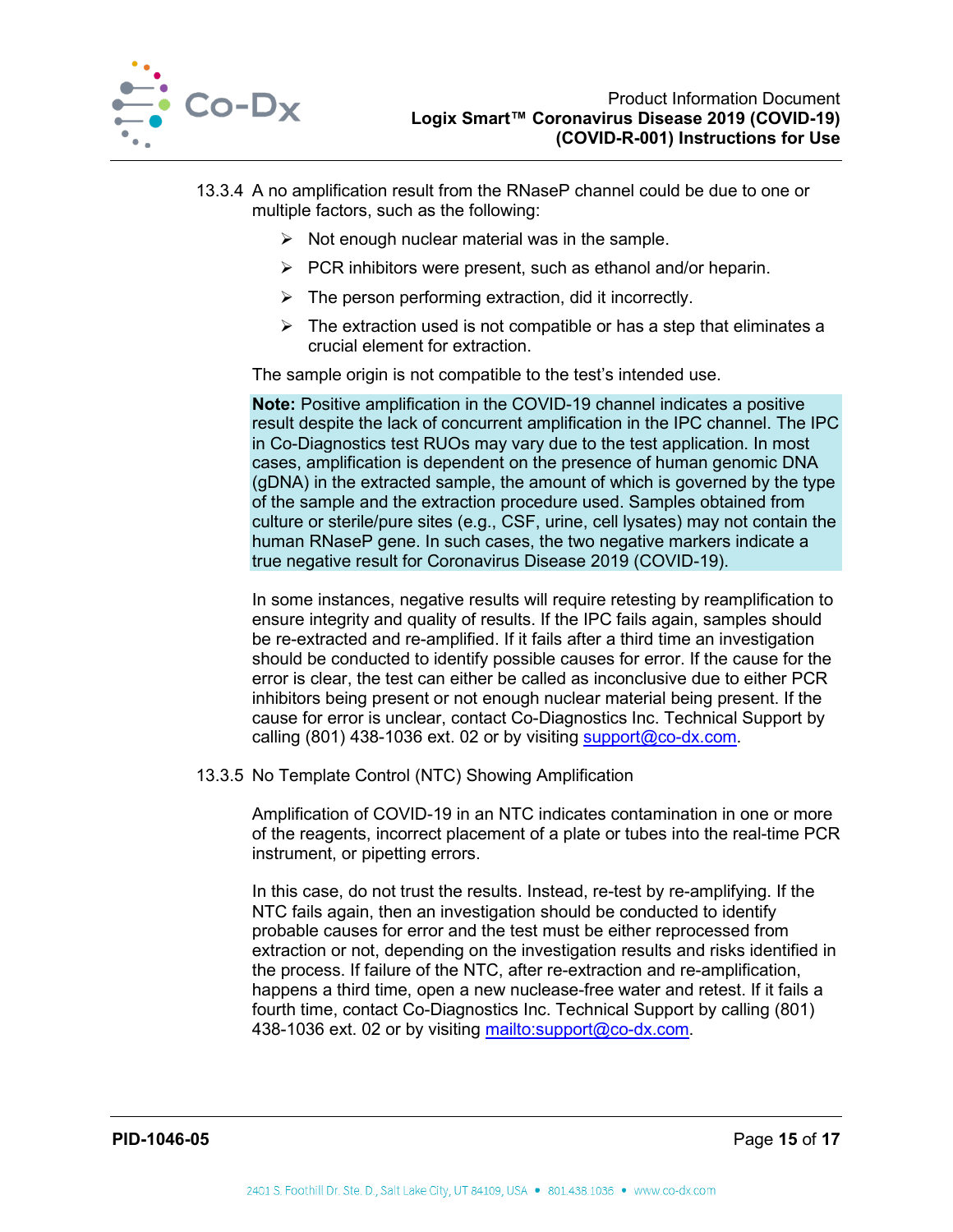

- 13.3.4 A no amplification result from the RNaseP channel could be due to one or multiple factors, such as the following:
	- $\triangleright$  Not enough nuclear material was in the sample.
	- $\triangleright$  PCR inhibitors were present, such as ethanol and/or heparin.
	- $\triangleright$  The person performing extraction, did it incorrectly.
	- $\triangleright$  The extraction used is not compatible or has a step that eliminates a crucial element for extraction.

The sample origin is not compatible to the test's intended use.

**Note:** Positive amplification in the COVID-19 channel indicates a positive result despite the lack of concurrent amplification in the IPC channel. The IPC in Co-Diagnostics test RUOs may vary due to the test application. In most cases, amplification is dependent on the presence of human genomic DNA (gDNA) in the extracted sample, the amount of which is governed by the type of the sample and the extraction procedure used. Samples obtained from culture or sterile/pure sites (e.g., CSF, urine, cell lysates) may not contain the human RNaseP gene. In such cases, the two negative markers indicate a true negative result for Coronavirus Disease 2019 (COVID-19).

In some instances, negative results will require retesting by reamplification to ensure integrity and quality of results. If the IPC fails again, samples should be re-extracted and re-amplified. If it fails after a third time an investigation should be conducted to identify possible causes for error. If the cause for the error is clear, the test can either be called as inconclusive due to either PCR inhibitors being present or not enough nuclear material being present. If the cause for error is unclear, contact Co-Diagnostics Inc. Technical Support by calling (801) 438-1036 ext. 02 or by visiting [support@co-dx.com.](mailto:support@co-dx.com)

13.3.5 No Template Control (NTC) Showing Amplification

Amplification of COVID-19 in an NTC indicates contamination in one or more of the reagents, incorrect placement of a plate or tubes into the real-time PCR instrument, or pipetting errors.

In this case, do not trust the results. Instead, re-test by re-amplifying. If the NTC fails again, then an investigation should be conducted to identify probable causes for error and the test must be either reprocessed from extraction or not, depending on the investigation results and risks identified in the process. If failure of the NTC, after re-extraction and re-amplification, happens a third time, open a new nuclease-free water and retest. If it fails a fourth time, contact Co-Diagnostics Inc. Technical Support by calling (801) 438-1036 ext. 02 or by visiting [mailto:support@co-dx.com.](mailto:support@co-dx.com)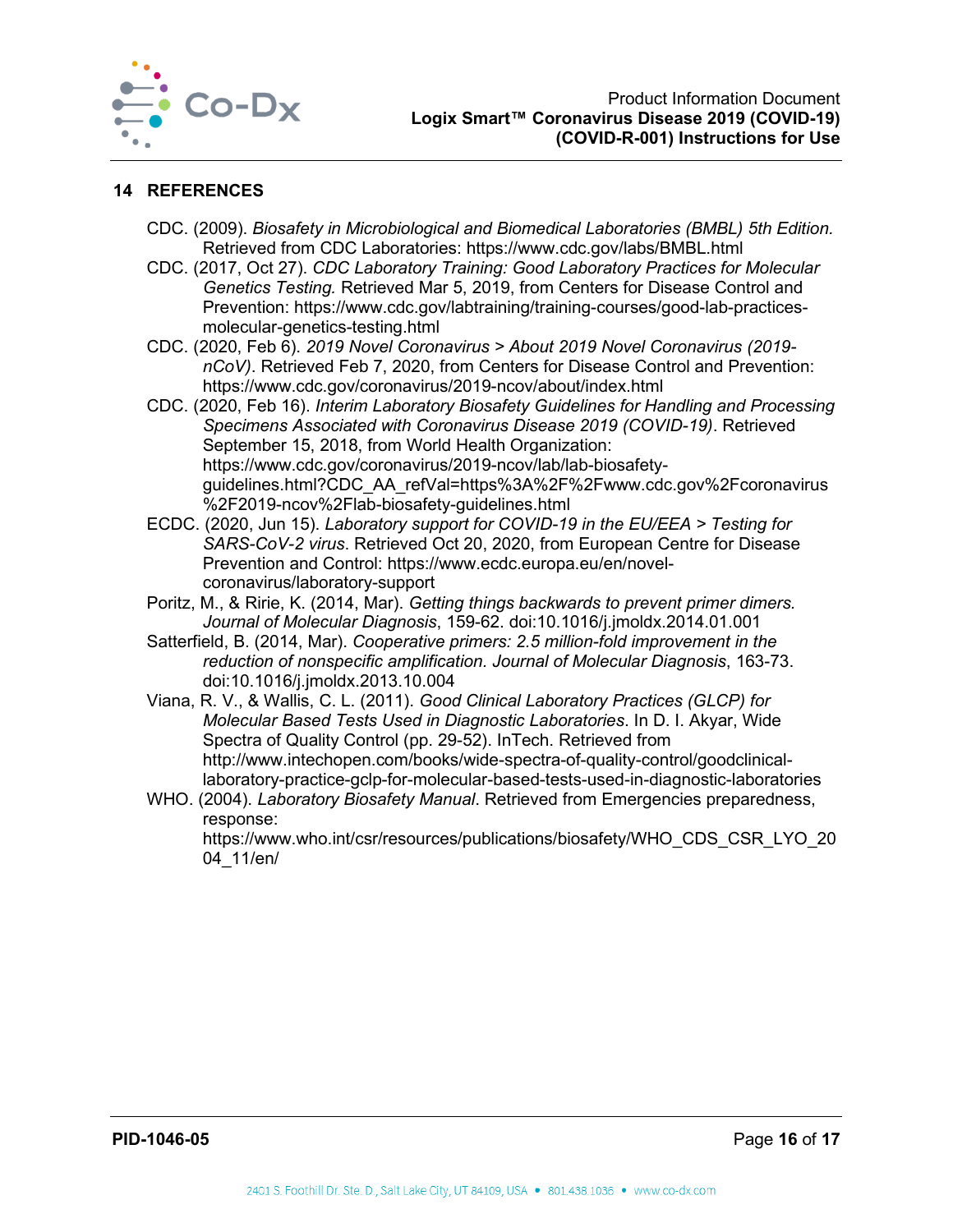

## <span id="page-16-0"></span>**14 REFERENCES**

- CDC. (2009). *Biosafety in Microbiological and Biomedical Laboratories (BMBL) 5th Edition.*  Retrieved from CDC Laboratories: https://www.cdc.gov/labs/BMBL.html
- CDC. (2017, Oct 27). *CDC Laboratory Training: Good Laboratory Practices for Molecular Genetics Testing.* Retrieved Mar 5, 2019, from Centers for Disease Control and Prevention: https://www.cdc.gov/labtraining/training-courses/good-lab-practicesmolecular-genetics-testing.html
- CDC. (2020, Feb 6). *2019 Novel Coronavirus > About 2019 Novel Coronavirus (2019 nCoV)*. Retrieved Feb 7, 2020, from Centers for Disease Control and Prevention: https://www.cdc.gov/coronavirus/2019-ncov/about/index.html
- CDC. (2020, Feb 16). *Interim Laboratory Biosafety Guidelines for Handling and Processing Specimens Associated with Coronavirus Disease 2019 (COVID-19)*. Retrieved September 15, 2018, from World Health Organization: https://www.cdc.gov/coronavirus/2019-ncov/lab/lab-biosafetyguidelines.html?CDC\_AA\_refVal=https%3A%2F%2Fwww.cdc.gov%2Fcoronavirus %2F2019-ncov%2Flab-biosafety-guidelines.html
- ECDC. (2020, Jun 15). *Laboratory support for COVID-19 in the EU/EEA > Testing for SARS-CoV-2 virus*. Retrieved Oct 20, 2020, from European Centre for Disease Prevention and Control: https://www.ecdc.europa.eu/en/novelcoronavirus/laboratory-support
- Poritz, M., & Ririe, K. (2014, Mar). *Getting things backwards to prevent primer dimers. Journal of Molecular Diagnosis*, 159-62. doi:10.1016/j.jmoldx.2014.01.001
- Satterfield, B. (2014, Mar). *Cooperative primers: 2.5 million-fold improvement in the reduction of nonspecific amplification. Journal of Molecular Diagnosis*, 163-73. doi:10.1016/j.jmoldx.2013.10.004
- Viana, R. V., & Wallis, C. L. (2011). *Good Clinical Laboratory Practices (GLCP) for Molecular Based Tests Used in Diagnostic Laboratories*. In D. I. Akyar, Wide Spectra of Quality Control (pp. 29-52). InTech. Retrieved from http://www.intechopen.com/books/wide-spectra-of-quality-control/goodclinicallaboratory-practice-gclp-for-molecular-based-tests-used-in-diagnostic-laboratories
- WHO. (2004). *Laboratory Biosafety Manual*. Retrieved from Emergencies preparedness, response:

https://www.who.int/csr/resources/publications/biosafety/WHO\_CDS\_CSR\_LYO\_20 04\_11/en/